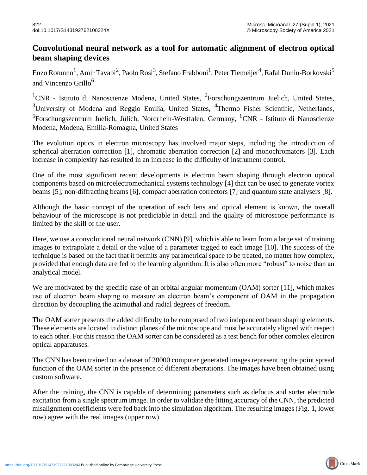## **Convolutional neural network as a tool for automatic alignment of electron optical beam shaping devices**

Enzo Rotunno $^1$ , Amir Tavabi $^2$ , Paolo Rosi $^3$ , Stefano Frabboni $^1$ , Peter Tiemeijer $^4$ , Rafal Dunin-Borkovski $^5$ and Vincenzo Grillo<sup>6</sup>

<sup>1</sup>CNR - Istituto di Nanoscienze Modena, United States, <sup>2</sup>Forschungszentrum Juelich, United States,  $3$ University of Modena and Reggio Emilia, United States,  $4$ Thermo Fisher Scientific, Netherlands, <sup>5</sup>Forschungszentrum Juelich, Jülich, Nordrhein-Westfalen, Germany, <sup>6</sup>CNR - Istituto di Nanoscienze Modena, Modena, Emilia-Romagna, United States

The evolution optics in electron microscopy has involved major steps, including the introduction of spherical aberration correction [1], chromatic aberration correction [2] and monochromators [3]. Each increase in complexity has resulted in an increase in the difficulty of instrument control.

One of the most significant recent developments is electron beam shaping through electron optical components based on microelectromechanical systems technology [4] that can be used to generate vortex beams [5], non-diffracting beams [6], compact aberration correctors [7] and quantum state analysers [8].

Although the basic concept of the operation of each lens and optical element is known, the overall behaviour of the microscope is not predictable in detail and the quality of microscope performance is limited by the skill of the user.

Here, we use a convolutional neural network (CNN) [9], which is able to learn from a large set of training images to extrapolate a detail or the value of a parameter tagged to each image [10]. The success of the technique is based on the fact that it permits any parametrical space to be treated, no matter how complex, provided that enough data are fed to the learning algorithm. It is also often more "robust" to noise than an analytical model.

We are motivated by the specific case of an orbital angular momentum (OAM) sorter [11], which makes use of electron beam shaping to measure an electron beam's component of OAM in the propagation direction by decoupling the azimuthal and radial degrees of freedom.

The OAM sorter presents the added difficulty to be composed of two independent beam shaping elements. These elements are located in distinct planes of the microscope and must be accurately aligned with respect to each other. For this reason the OAM sorter can be considered as a test bench for other complex electron optical apparatuses.

The CNN has been trained on a dataset of 20000 computer generated images representing the point spread function of the OAM sorter in the presence of different aberrations. The images have been obtained using custom software.

After the training, the CNN is capable of determining parameters such as defocus and sorter electrode excitation from a single spectrum image. In order to validate the fitting accuracy of the CNN, the predicted misalignment coefficients were fed back into the simulation algorithm. The resulting images (Fig. 1, lower row) agree with the real images (upper row).

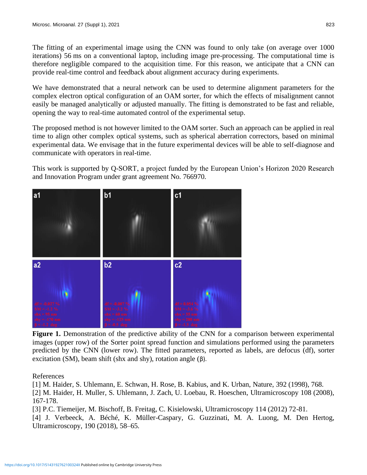The fitting of an experimental image using the CNN was found to only take (on average over 1000 iterations) 56 ms on a conventional laptop, including image pre-processing. The computational time is therefore negligible compared to the acquisition time. For this reason, we anticipate that a CNN can provide real-time control and feedback about alignment accuracy during experiments.

We have demonstrated that a neural network can be used to determine alignment parameters for the complex electron optical configuration of an OAM sorter, for which the effects of misalignment cannot easily be managed analytically or adjusted manually. The fitting is demonstrated to be fast and reliable, opening the way to real-time automated control of the experimental setup.

The proposed method is not however limited to the OAM sorter. Such an approach can be applied in real time to align other complex optical systems, such as spherical aberration correctors, based on minimal experimental data. We envisage that in the future experimental devices will be able to self-diagnose and communicate with operators in real-time.

This work is supported by Q-SORT, a project funded by the European Union's Horizon 2020 Research and Innovation Program under grant agreement No. 766970.



**Figure 1.** Demonstration of the predictive ability of the CNN for a comparison between experimental images (upper row) of the Sorter point spread function and simulations performed using the parameters predicted by the CNN (lower row). The fitted parameters, reported as labels, are defocus (df), sorter excitation (SM), beam shift (shx and shy), rotation angle (β).

References

[1] M. Haider, S. Uhlemann, E. Schwan, H. Rose, B. Kabius, and K. Urban, Nature, 392 (1998), 768. [2] M. Haider, H. Muller, S. Uhlemann, J. Zach, U. Loebau, R. Hoeschen, Ultramicroscopy 108 (2008), 167-178.

[3] P.C. Tiemeijer, M. Bischoff, B. Freitag, C. Kisielowski, Ultramicroscopy 114 (2012) 72-81. [4] J. Verbeeck, A. Béché, K. Müller-Caspary, G. Guzzinati, M. A. Luong, M. Den Hertog, Ultramicroscopy, 190 (2018), 58–65.